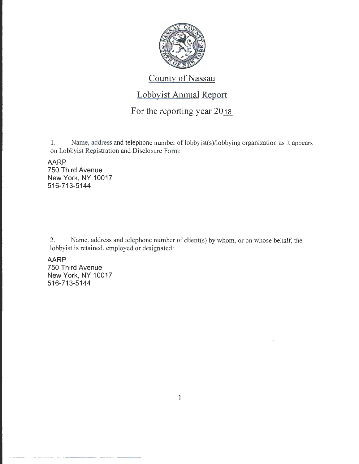

# County of Nassau

# Lobbyist Annual Report

# For the reporting year  $20_{18}$

1. Name, address and telephone number of lobbyist(s)/lobbying organization as it appears on Lobbyist Registration and Disclosure Form:

AARP 750 Third Avenue New York, NY 10017 516-713-5144

2. Name, address and telephone number of client(s) by whom, or on whose behalf, the lobbyist is retained, employed or designated:

AARP

750 Third Avenue New York, NY 10017 516-713-5144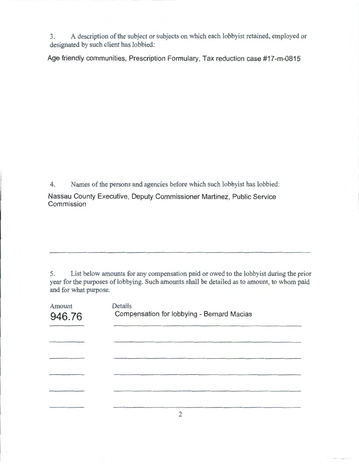3. A description of the subject or subjects on which each lobbyist retained, employed or designated by such client has lobbied:

Age friendly communities, Prescription Formulary, Tax reduction case #17 -m-0815

4. Names of the persons and agencies before which such lobbyist has lobbied:

Nassau County Executive, Deputy Commissioner Martinez, Public Service **Commission** 

5. List below amounts for any compensation paid or owed to the lobbyist during the prior year for the purposes of lobbying. Such amounts shall be detailed as to amount, to whom paid and for what purpose.

| Amount<br>946.76 | Details<br>Compensation for lobbying - Bernard Macias |
|------------------|-------------------------------------------------------|
|                  |                                                       |
|                  |                                                       |
|                  |                                                       |
|                  |                                                       |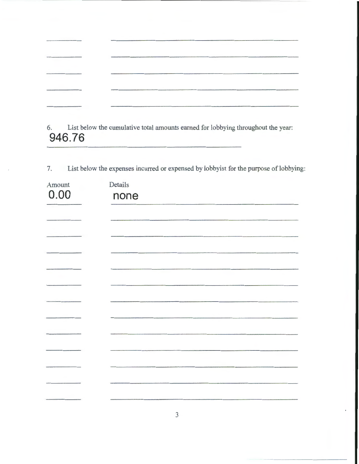| and the contract of the contract of the contract of the contract of the contract of the contract of the contract of |                                                                                                                     |                                           |
|---------------------------------------------------------------------------------------------------------------------|---------------------------------------------------------------------------------------------------------------------|-------------------------------------------|
|                                                                                                                     |                                                                                                                     |                                           |
|                                                                                                                     |                                                                                                                     |                                           |
|                                                                                                                     | <b>PROPERTY OF THE CONSTRUCTION OF THE CONSTRUCTION OF THE CONSTRUCTION OF THE CONSTRUCTION OF THE CONSTRUCTION</b> |                                           |
|                                                                                                                     |                                                                                                                     | and and design the full property security |

6. List below the cumulative total amounts earned for lobbying throughout the year: **946.76** 

7. List below the expenses incurred or expensed by lobbyist for the purpose of lobbying:

| Amount | Details |
|--------|---------|
| 0.00   | none    |
|        |         |
|        |         |
|        |         |
|        |         |
|        |         |
|        |         |
|        |         |
|        |         |
|        |         |
|        |         |
|        |         |
|        |         |
|        |         |
|        |         |
|        |         |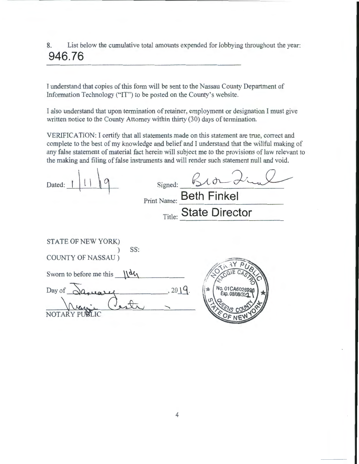8. List below the cumulative total amounts expended for lobbying throughout the year: **946.76** 

I understand that copies of this form will be sent to the Nassau County Department of Information Technology ("IT") to be posted on the County's website.

I also understand that upon termination of retainer, employment or designation I must give written notice to the County Attorney within thirty (30) days of termination.

VERJFICATION: I certify that all statements made on this statement are true, correct and complete to the best of my knowledge and belief and I understand that the willful making of any false statement of material fact herein will subject me to the provisions of law relevant to the making and filing of false instruments and will render such statement null and void.

| Dated: | Signed:                 |
|--------|-------------------------|
|        | Print Name: Beth Finkel |
|        | Title: State Director   |
|        |                         |

| STATE OF NEW YORK)<br>SS: |         |
|---------------------------|---------|
| <b>COUNTY OF NASSAU</b> ) |         |
| Sworn to before me this   |         |
| Day of $\subset$          | , 2019. |
|                           |         |

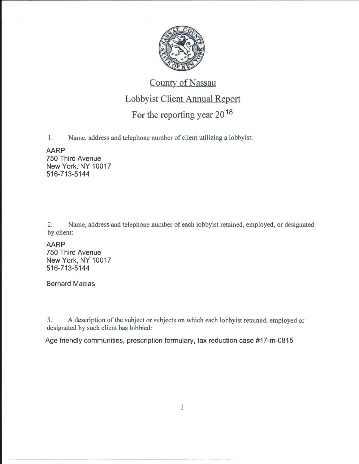

# County of Nassau

### Lobbyist Client Annual Report

# For the reporting year 20 <sup>18</sup>

1. Name, address and telephone number of client utilizing a lobbyist:

#### **AARP**

750 Third Avenue New York, NY 10017 516-713-5144

2. Name, address and telephone number of each lobbyist retained, employed, or designated by client:

**AARP** 750 Third Avenue New York, NY 10017 516-713-5144

Bernard Macias

3. A description of the subject or subjects on which each lobbyist retained, employed or designated by such client has lobbied:

Age friendly communities, prescription formulary, tax reduction case #17 -m-0815

1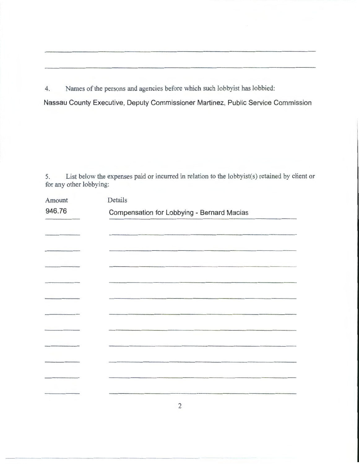4. Names of the persons and agencies before which such lobbyist has lobbied:

Nassau County Executive, Deputy Commissioner Martinez, Public Service Commission

5. List below the expenses paid or incurred in relation to the lobbyist(s) retained by client or for any other lobbying:

| Amount | Details                                    |  |
|--------|--------------------------------------------|--|
| 946.76 | Compensation for Lobbying - Bernard Macias |  |
|        |                                            |  |
|        |                                            |  |
|        |                                            |  |
|        |                                            |  |
|        |                                            |  |
|        |                                            |  |
|        |                                            |  |
|        |                                            |  |
|        |                                            |  |
|        |                                            |  |
|        |                                            |  |
|        |                                            |  |
|        |                                            |  |